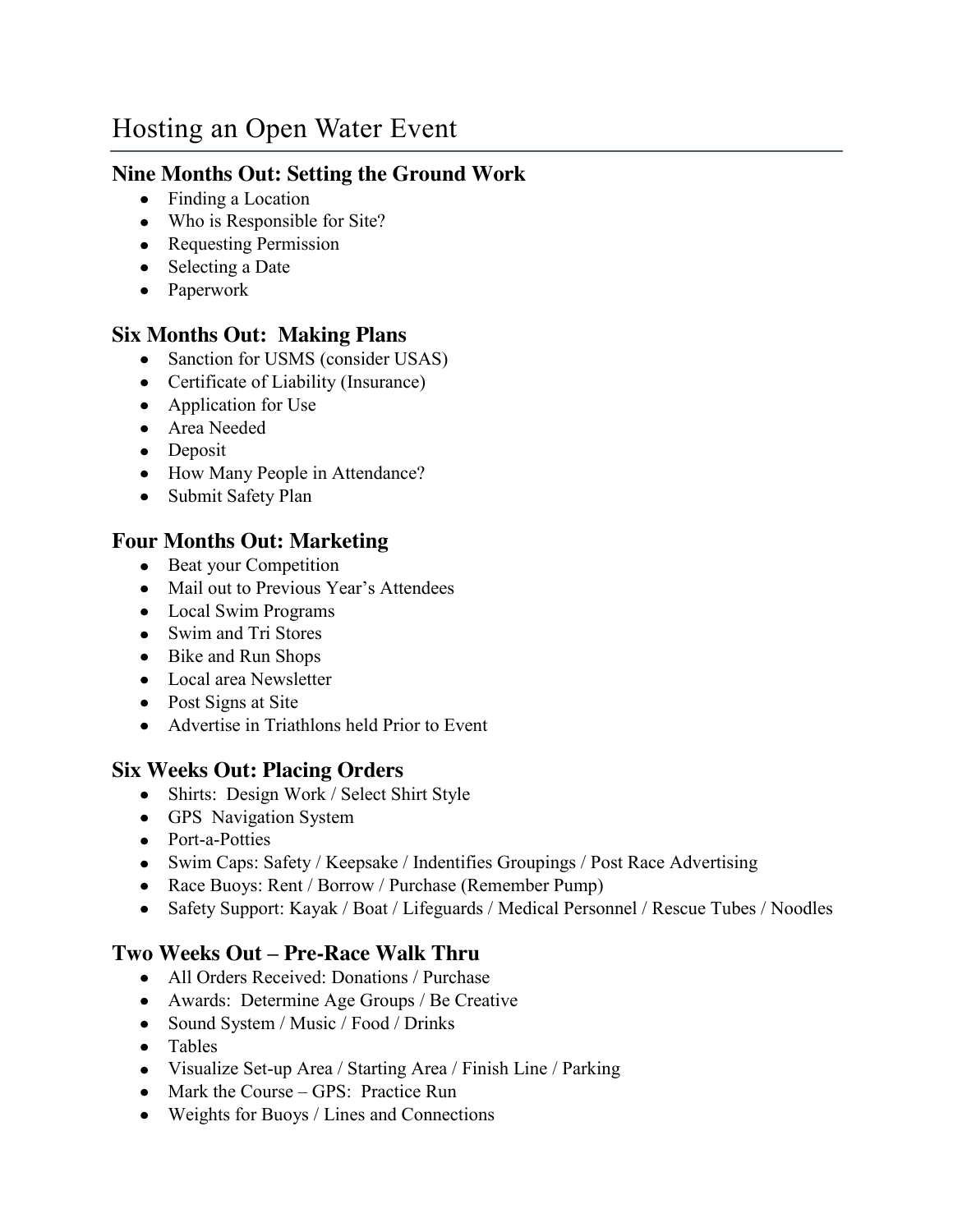# Hosting an Open Water Event

## **Nine Months Out: Setting the Ground Work**

- Finding a Location
- Who is Responsible for Site?
- Requesting Permission
- Selecting a Date
- Paperwork

## **Six Months Out: Making Plans**

- Sanction for USMS (consider USAS)
- Certificate of Liability (Insurance)
- Application for Use
- Area Needed
- Deposit
- How Many People in Attendance?
- Submit Safety Plan

## **Four Months Out: Marketing**

- Beat your Competition
- Mail out to Previous Year's Attendees
- Local Swim Programs
- Swim and Tri Stores
- Bike and Run Shops
- Local area Newsletter
- Post Signs at Site
- Advertise in Triathlons held Prior to Event

## **Six Weeks Out: Placing Orders**

- Shirts: Design Work / Select Shirt Style
- GPS Navigation System
- Port-a-Potties
- Swim Caps: Safety / Keepsake / Indentifies Groupings / Post Race Advertising
- Race Buoys: Rent / Borrow / Purchase (Remember Pump)
- Safety Support: Kayak / Boat / Lifeguards / Medical Personnel / Rescue Tubes / Noodles

## **Two Weeks Out – Pre-Race Walk Thru**

- All Orders Received: Donations / Purchase
- Awards: Determine Age Groups / Be Creative
- Sound System / Music / Food / Drinks
- Tables
- Visualize Set-up Area / Starting Area / Finish Line / Parking
- Mark the Course GPS: Practice Run
- Weights for Buoys / Lines and Connections